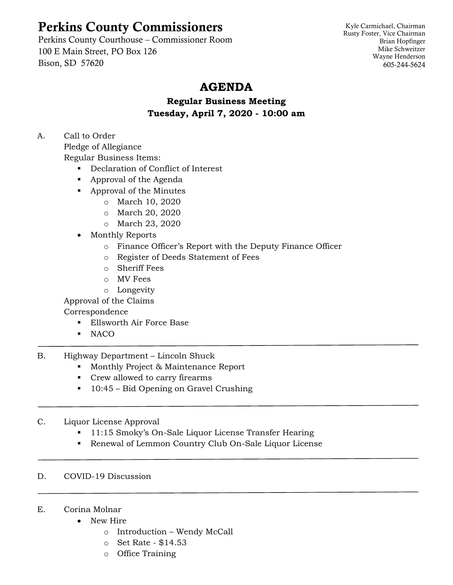# Perkins County Commissioners

Perkins County Courthouse – Commissioner Room 100 E Main Street, PO Box 126 Bison, SD 57620

Kyle Carmichael, Chairman Rusty Foster, Vice Chairman Brian Hopfinger Mike Schweitzer Wayne Henderson 605-244-5624

## **AGENDA**

**Regular Business Meeting Tuesday, April 7, 2020 - 10:00 am**

A. Call to Order

Pledge of Allegiance

Regular Business Items:

- Declaration of Conflict of Interest
- Approval of the Agenda
- Approval of the Minutes
	- o March 10, 2020
		- o March 20, 2020
		- o March 23, 2020
- Monthly Reports
	- o Finance Officer's Report with the Deputy Finance Officer
	- o Register of Deeds Statement of Fees
	- o Sheriff Fees
	- o MV Fees
	- o Longevity

Approval of the Claims

### Correspondence

- Ellsworth Air Force Base
- NACO
- B. Highway Department Lincoln Shuck
	- Monthly Project & Maintenance Report
	- Crew allowed to carry firearms
	- 10:45 Bid Opening on Gravel Crushing
- C. Liquor License Approval
	- 11:15 Smoky's On-Sale Liquor License Transfer Hearing
	- Renewal of Lemmon Country Club On-Sale Liquor License

#### D. COVID-19 Discussion

#### E. Corina Molnar

- New Hire
	- o Introduction Wendy McCall
	- o Set Rate \$14.53
	- o Office Training